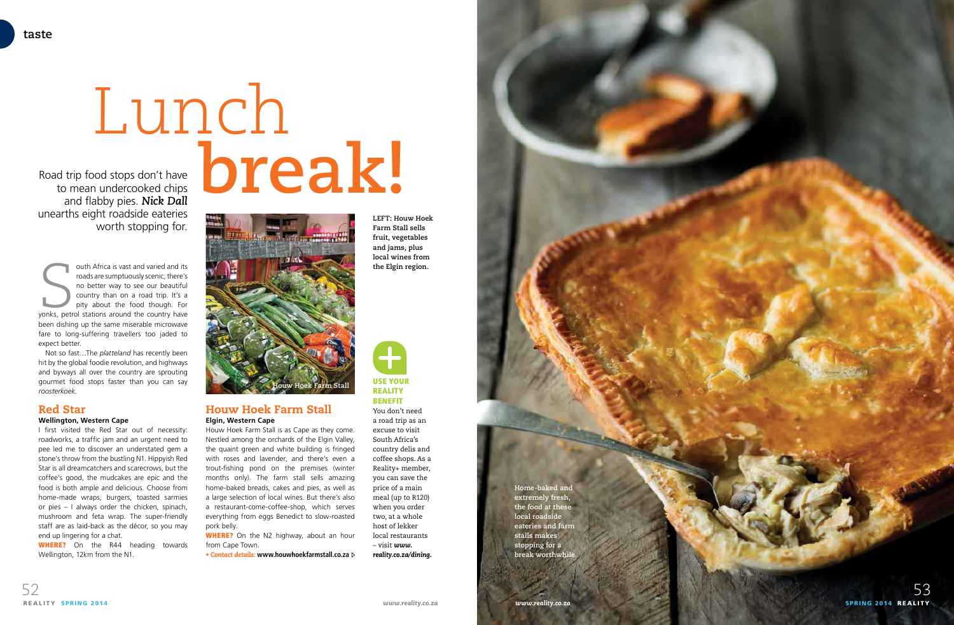# Lunch trip food stops don't have<br>
and flabby pies. Nick Dall<br> **break Pall and flabby pies. Nick Dall**



Road trip food stops don't have to mean undercooked chips unearths eight roadside eateries worth stopping for.

outh Africa is vast and varied and its<br>roads are sumptuously scenic; there's<br>no better way to see our beautiful<br>country than on a road trip. It's a<br>pity about the food though. For<br>yonks, petrol stations around the country outh Africa is vast and varied and its roads are sumptuously scenic; there's no better way to see our beautiful country than on a road trip. It's a pity about the food though. For been dishing up the same miserable microwave fare to long-suffering travellers too jaded to expect better.

Not so fast…The *platteland* has recently been hit by the global foodie revolution, and highways and byways all over the country are sprouting gourmet food stops faster than you can say *roosterkoek* .

**WHERE?** On the R44 heading towards Wellington, 12km from the N1.

# Red Star **Wellington, Western Cape**

**WHERE?** On the N2 highway, about an hour from Cape Town.

I first visited the Red Star out of necessity: roadworks, a traffic jam and an urgent need to pee led me to discover an understated gem a stone's throw from the bustling N1. Hippyish Red Star is all dreamcatchers and scarecrows, but the coffee's good, the mudcakes are epic and the food is both ample and delicious. Choose from home-made wraps, burgers, toasted sarmies or pies – I always order the chicken, spinach, mushroom and feta wrap. The super-friendly staff are as laid-back as the décor, so you may end up lingering for a chat.

# Houw Hoek Farm Stall **Elgin, Western Cape**

Houw Hoek Farm Stall is as Cape as they come. Nestled among the orchards of the Elgin Valley, the quaint green and white building is fringed with roses and lavender, and there's even a trout-fishing pond on the premises (winter months only). The farm stall sells amazing home-baked breads, cakes and pies, as well as a large selection of local wines. But there's also a restaurant-come-coffee-shop, which serves everything from eggs Benedict to slow-roasted pork belly.

*• Contact details:* **www.houwhoekfarmstall.co.za**



You don't need a road trip as an excuse to visit South Africa's country delis and coffee shops. As a Reality+ member, you can save the price of a main meal (up to R120) when you order two, at a whole host of lekker local restaurants – visit *www. reality.co.za/dining.*

**LEFT: Houw Hoek Farm Stall sells fruit, vegetables and jams, plus local wines from the Elgin region.**